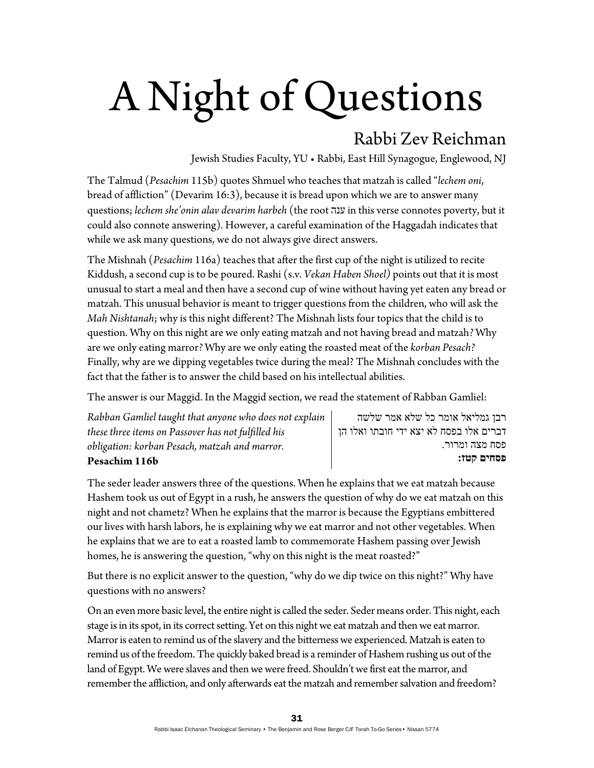## A Night of Questions

## Rabbi Zev Reichman

Jewish Studies Faculty, YU • Rabbi, East Hill Synagogue, Englewood, NJ

The Talmud (*Pesachim* 115b) quotes Shmuel who teaches that matzah is called "*lechem oni*, bread of affliction" (Devarim 16:3), because it is bread upon which we are to answer many questions; *lechem she'onin alav devarim harbeh* (the root ענה in this verse connotes poverty, but it could also connote answering)*.* However, a careful examination of the Haggadah indicates that while we ask many questions, we do not always give direct answers.

The Mishnah (*Pesachim* 116a) teaches that after the first cup of the night is utilized to recite Kiddush, a second cup is to be poured. Rashi (s.v. *Vekan Haben Shoel)* points out that it is most unusual to start a meal and then have a second cup of wine without having yet eaten any bread or matzah. This unusual behavior is meant to trigger questions from the children, who will ask the *Mah Nishtanah*; why is this night different? The Mishnah lists four topics that the child is to question. Why on this night are we only eating matzah and not having bread and matzah*?* Why are we only eating marror*?* Why are we only eating the roasted meat of the *korban Pesach?*  Finally, why are we dipping vegetables twice during the meal? The Mishnah concludes with the fact that the father is to answer the child based on his intellectual abilities.

The answer is our Maggid. In the Maggid section, we read the statement of Rabban Gamliel:

| Rabban Gamliel taught that anyone who does not explain |  |
|--------------------------------------------------------|--|
| these three items on Passover has not fulfilled his    |  |
| obligation: korban Pesach, matzah and marror.          |  |
| Pesachim 116b                                          |  |

רבן גמליאל אומר כל שלא אמר שלשה דברים אלו בפסח לא יצא ידי חובתו ואלו הן פסח מצה ומרור. **פסחים קטז:** 

The seder leader answers three of the questions. When he explains that we eat matzah because Hashem took us out of Egypt in a rush, he answers the question of why do we eat matzah on this night and not chametz? When he explains that the marror is because the Egyptians embittered our lives with harsh labors, he is explaining why we eat marror and not other vegetables. When he explains that we are to eat a roasted lamb to commemorate Hashem passing over Jewish homes, he is answering the question, "why on this night is the meat roasted?"

But there is no explicit answer to the question, "why do we dip twice on this night?" Why have questions with no answers?

On an even more basic level, the entire night is called the seder. Seder means order. This night, each stage is in its spot, in its correct setting. Yet on this night we eat matzah and then we eat marror. Marror is eaten to remind us of the slavery and the bitterness we experienced. Matzah is eaten to remind us of the freedom. The quickly baked bread is a reminder of Hashem rushing us out of the land of Egypt. We were slaves and then we were freed. Shouldn't we first eat the marror, and remember the affliction, and only afterwards eat the matzah and remember salvation and freedom?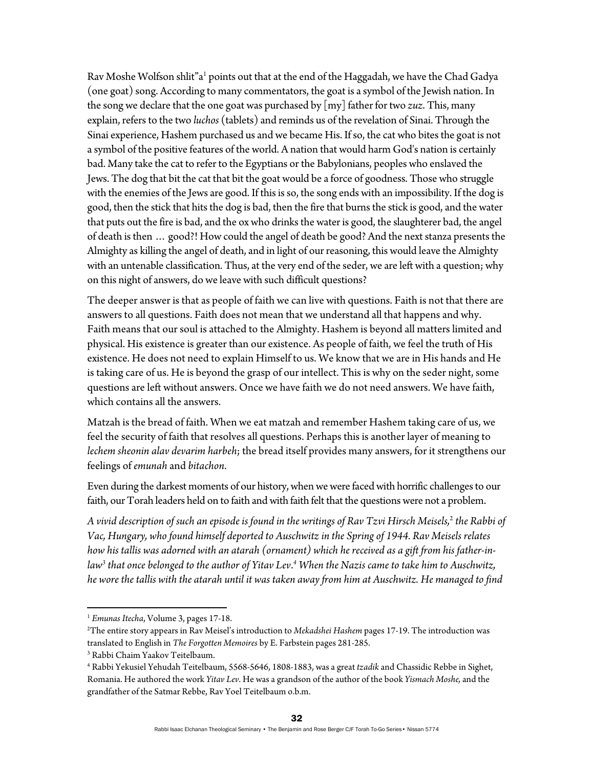Rav Moshe Wolfson shlit"a<sup>1</sup> points out that at the end of the Haggadah, we have the Chad Gadya (one goat) song. According to many commentators, the goat is a symbol of the Jewish nation. In the song we declare that the one goat was purchased by [my] father for two *zuz*. This, many explain, refers to the two *luchos* (tablets) and reminds us of the revelation of Sinai. Through the Sinai experience, Hashem purchased us and we became His. If so, the cat who bites the goat is not a symbol of the positive features of the world. A nation that would harm God's nation is certainly bad. Many take the cat to refer to the Egyptians or the Babylonians, peoples who enslaved the Jews. The dog that bit the cat that bit the goat would be a force of goodness. Those who struggle with the enemies of the Jews are good. If this is so, the song ends with an impossibility. If the dog is good, then the stick that hits the dog is bad, then the fire that burns the stick is good, and the water that puts out the fire is bad, and the ox who drinks the water is good, the slaughterer bad, the angel of death is then … good?! How could the angel of death be good? And the next stanza presents the Almighty as killing the angel of death, and in light of our reasoning, this would leave the Almighty with an untenable classification. Thus, at the very end of the seder, we are left with a question; why on this night of answers, do we leave with such difficult questions?

The deeper answer is that as people of faith we can live with questions. Faith is not that there are answers to all questions. Faith does not mean that we understand all that happens and why. Faith means that our soul is attached to the Almighty. Hashem is beyond all matters limited and physical. His existence is greater than our existence. As people of faith, we feel the truth of His existence. He does not need to explain Himself to us. We know that we are in His hands and He is taking care of us. He is beyond the grasp of our intellect. This is why on the seder night, some questions are left without answers. Once we have faith we do not need answers. We have faith, which contains all the answers.

Matzah is the bread of faith. When we eat matzah and remember Hashem taking care of us, we feel the security of faith that resolves all questions. Perhaps this is another layer of meaning to *lechem sheonin alav devarim harbeh*; the bread itself provides many answers, for it strengthens our feelings of *emunah* and *bitachon*.

Even during the darkest moments of our history, when we were faced with horrific challenges to our faith, our Torah leaders held on to faith and with faith felt that the questions were not a problem.

*A vivid description of such an episode is found in the writings of Rav Tzvi Hirsch Meisels,*<sup>2</sup>  *the Rabbi of Vac, Hungary, who found himself deported to Auschwitz in the Spring of 1944. Rav Meisels relates how his tallis was adorned with an atarah (ornament) which he received as a gift from his father-in*law<sup>3</sup> that once belonged to the author of Yitav Lev.<sup>4</sup> When the Nazis came to take him to Auschwitz, *he wore the tallis with the atarah until it was taken away from him at Auschwitz. He managed to find* 

 <sup>1</sup> *Emunas Itecha*, Volume 3, pages 17-18. 2

The entire story appears in Rav Meisel's introduction to *Mekadshei Hashem* pages 17-19. The introduction was translated to English in *The Forgotten Memoires* by E. Farbstein pages 281-285. 3

<sup>&</sup>lt;sup>3</sup> Rabbi Chaim Yaakov Teitelbaum.

<sup>4</sup> Rabbi Yekusiel Yehudah Teitelbaum, 5568-5646, 1808-1883, was a great *tzadik* and Chassidic Rebbe in Sighet, Romania. He authored the work *Yitav Lev*. He was a grandson of the author of the book *Yismach Moshe,* and the grandfather of the Satmar Rebbe, Rav Yoel Teitelbaum o.b.m.